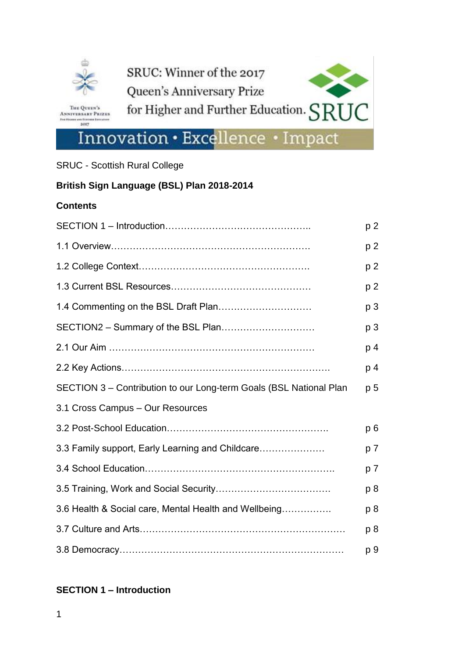

THE QUEEN'S<br>ANNIVERSARY PRIZES **CARD AND FURNISHER** 

3017

**Bank** 



# Innovation . Excellence . Impact

SRUC - Scottish Rural College

# **British Sign Language (BSL) Plan 2018-2014**

#### **Contents**

|                                                                    | p <sub>2</sub> |
|--------------------------------------------------------------------|----------------|
|                                                                    | p 2            |
|                                                                    | p <sub>2</sub> |
|                                                                    | p <sub>2</sub> |
|                                                                    | p <sub>3</sub> |
| SECTION2 - Summary of the BSL Plan                                 | p 3            |
|                                                                    | p 4            |
|                                                                    | p 4            |
| SECTION 3 - Contribution to our Long-term Goals (BSL National Plan | p <sub>5</sub> |
| 3.1 Cross Campus - Our Resources                                   |                |
|                                                                    | p <sub>6</sub> |
| 3.3 Family support, Early Learning and Childcare                   | p 7            |
|                                                                    | p 7            |
|                                                                    | p 8            |
| 3.6 Health & Social care, Mental Health and Wellbeing              | p8             |
|                                                                    | p 8            |
|                                                                    | p 9            |

## **SECTION 1 – Introduction**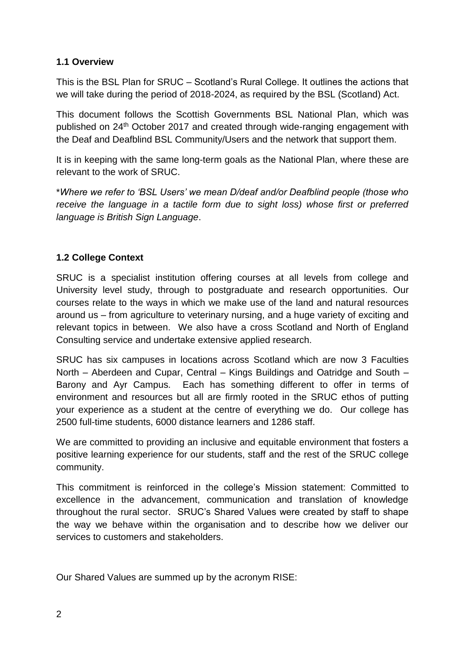# **1.1 Overview**

This is the BSL Plan for SRUC – Scotland's Rural College. It outlines the actions that we will take during the period of 2018-2024, as required by the BSL (Scotland) Act.

This document follows the Scottish Governments BSL National Plan, which was published on 24th October 2017 and created through wide-ranging engagement with the Deaf and Deafblind BSL Community/Users and the network that support them.

It is in keeping with the same long-term goals as the National Plan, where these are relevant to the work of SRUC.

\**Where we refer to 'BSL Users' we mean D/deaf and/or Deafblind people (those who receive the language in a tactile form due to sight loss) whose first or preferred language is British Sign Language*.

# **1.2 College Context**

SRUC is a specialist institution offering courses at all levels from college and University level study, through to postgraduate and research opportunities. Our courses relate to the ways in which we make use of the land and natural resources around us – from agriculture to veterinary nursing, and a huge variety of exciting and relevant topics in between. We also have a cross Scotland and North of England Consulting service and undertake extensive applied research.

SRUC has six campuses in locations across Scotland which are now 3 Faculties North – Aberdeen and Cupar, Central – Kings Buildings and Oatridge and South – Barony and Ayr Campus. Each has something different to offer in terms of environment and resources but all are firmly rooted in the SRUC ethos of putting your experience as a student at the centre of everything we do. Our college has 2500 full-time students, 6000 distance learners and 1286 staff.

We are committed to providing an inclusive and equitable environment that fosters a positive learning experience for our students, staff and the rest of the SRUC college community.

This commitment is reinforced in the college's Mission statement: Committed to excellence in the advancement, communication and translation of knowledge throughout the rural sector. SRUC's Shared Values were created by staff to shape the way we behave within the organisation and to describe how we deliver our services to customers and stakeholders.

Our Shared Values are summed up by the acronym RISE: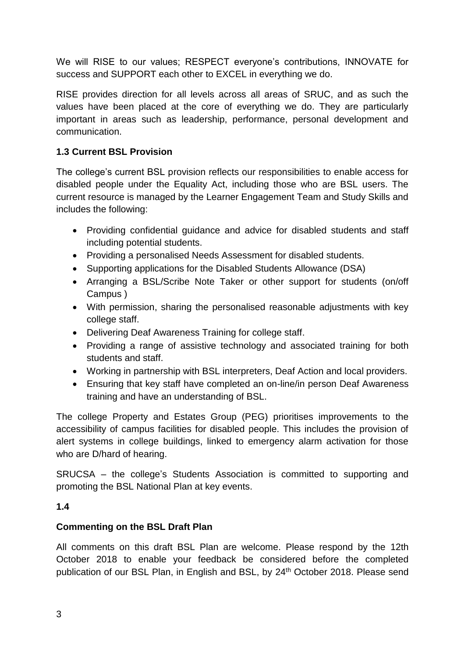We will RISE to our values; RESPECT everyone's contributions, INNOVATE for success and SUPPORT each other to EXCEL in everything we do.

RISE provides direction for all levels across all areas of SRUC, and as such the values have been placed at the core of everything we do. They are particularly important in areas such as leadership, performance, personal development and communication.

# **1.3 Current BSL Provision**

The college's current BSL provision reflects our responsibilities to enable access for disabled people under the Equality Act, including those who are BSL users. The current resource is managed by the Learner Engagement Team and Study Skills and includes the following:

- Providing confidential guidance and advice for disabled students and staff including potential students.
- Providing a personalised Needs Assessment for disabled students.
- Supporting applications for the Disabled Students Allowance (DSA)
- Arranging a BSL/Scribe Note Taker or other support for students (on/off Campus )
- With permission, sharing the personalised reasonable adjustments with key college staff.
- Delivering Deaf Awareness Training for college staff.
- Providing a range of assistive technology and associated training for both students and staff.
- Working in partnership with BSL interpreters, Deaf Action and local providers.
- Ensuring that key staff have completed an on-line/in person Deaf Awareness training and have an understanding of BSL.

The college Property and Estates Group (PEG) prioritises improvements to the accessibility of campus facilities for disabled people. This includes the provision of alert systems in college buildings, linked to emergency alarm activation for those who are D/hard of hearing.

SRUCSA – the college's Students Association is committed to supporting and promoting the BSL National Plan at key events.

# **1.4**

# **Commenting on the BSL Draft Plan**

All comments on this draft BSL Plan are welcome. Please respond by the 12th October 2018 to enable your feedback be considered before the completed publication of our BSL Plan, in English and BSL, by 24<sup>th</sup> October 2018. Please send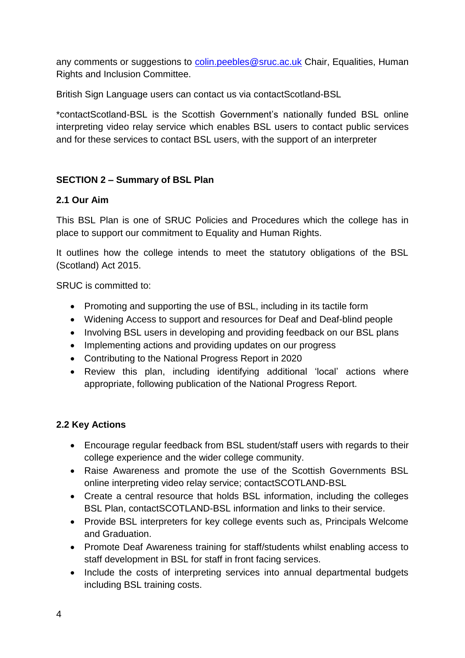any comments or suggestions to [colin.peebles@sruc.ac.uk](mailto:colin.peebles@sruc.ac.uk) Chair, Equalities, Human Rights and Inclusion Committee.

British Sign Language users can contact us via contactScotland-BSL

\*contactScotland-BSL is the Scottish Government's nationally funded BSL online interpreting video relay service which enables BSL users to contact public services and for these services to contact BSL users, with the support of an interpreter

# **SECTION 2 – Summary of BSL Plan**

## **2.1 Our Aim**

This BSL Plan is one of SRUC Policies and Procedures which the college has in place to support our commitment to Equality and Human Rights.

It outlines how the college intends to meet the statutory obligations of the BSL (Scotland) Act 2015.

SRUC is committed to:

- Promoting and supporting the use of BSL, including in its tactile form
- Widening Access to support and resources for Deaf and Deaf-blind people
- Involving BSL users in developing and providing feedback on our BSL plans
- Implementing actions and providing updates on our progress
- Contributing to the National Progress Report in 2020
- Review this plan, including identifying additional 'local' actions where appropriate, following publication of the National Progress Report.

## **2.2 Key Actions**

- Encourage regular feedback from BSL student/staff users with regards to their college experience and the wider college community.
- Raise Awareness and promote the use of the Scottish Governments BSL online interpreting video relay service; contactSCOTLAND-BSL
- Create a central resource that holds BSL information, including the colleges BSL Plan, contactSCOTLAND-BSL information and links to their service.
- Provide BSL interpreters for key college events such as, Principals Welcome and Graduation.
- Promote Deaf Awareness training for staff/students whilst enabling access to staff development in BSL for staff in front facing services.
- Include the costs of interpreting services into annual departmental budgets including BSL training costs.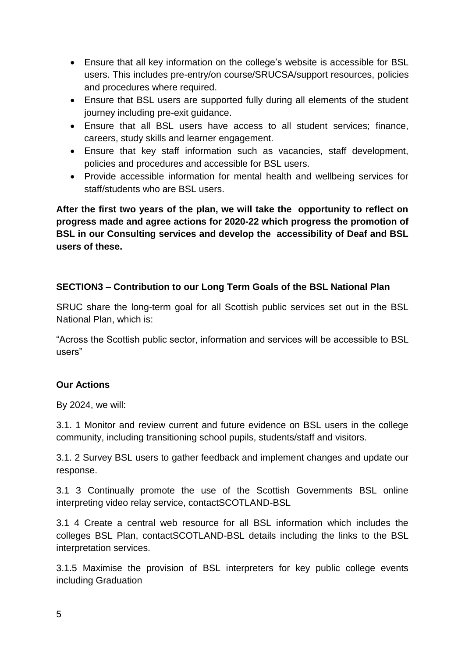- Ensure that all key information on the college's website is accessible for BSL users. This includes pre-entry/on course/SRUCSA/support resources, policies and procedures where required.
- Ensure that BSL users are supported fully during all elements of the student journey including pre-exit guidance.
- Ensure that all BSL users have access to all student services; finance, careers, study skills and learner engagement.
- Ensure that key staff information such as vacancies, staff development, policies and procedures and accessible for BSL users.
- Provide accessible information for mental health and wellbeing services for staff/students who are BSL users.

**After the first two years of the plan, we will take the opportunity to reflect on progress made and agree actions for 2020-22 which progress the promotion of BSL in our Consulting services and develop the accessibility of Deaf and BSL users of these.** 

# **SECTION3 – Contribution to our Long Term Goals of the BSL National Plan**

SRUC share the long-term goal for all Scottish public services set out in the BSL National Plan, which is:

"Across the Scottish public sector, information and services will be accessible to BSL users"

# **Our Actions**

By 2024, we will:

3.1. 1 Monitor and review current and future evidence on BSL users in the college community, including transitioning school pupils, students/staff and visitors.

3.1. 2 Survey BSL users to gather feedback and implement changes and update our response.

3.1 3 Continually promote the use of the Scottish Governments BSL online interpreting video relay service, contactSCOTLAND-BSL

3.1 4 Create a central web resource for all BSL information which includes the colleges BSL Plan, contactSCOTLAND-BSL details including the links to the BSL interpretation services.

3.1.5 Maximise the provision of BSL interpreters for key public college events including Graduation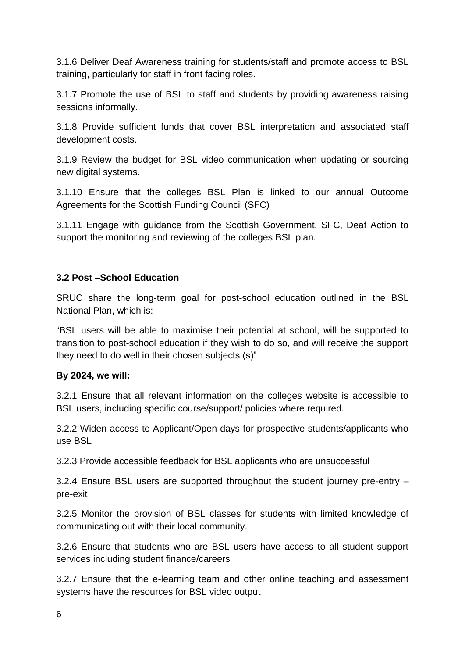3.1.6 Deliver Deaf Awareness training for students/staff and promote access to BSL training, particularly for staff in front facing roles.

3.1.7 Promote the use of BSL to staff and students by providing awareness raising sessions informally.

3.1.8 Provide sufficient funds that cover BSL interpretation and associated staff development costs.

3.1.9 Review the budget for BSL video communication when updating or sourcing new digital systems.

3.1.10 Ensure that the colleges BSL Plan is linked to our annual Outcome Agreements for the Scottish Funding Council (SFC)

3.1.11 Engage with guidance from the Scottish Government, SFC, Deaf Action to support the monitoring and reviewing of the colleges BSL plan.

## **3.2 Post –School Education**

SRUC share the long-term goal for post-school education outlined in the BSL National Plan, which is:

"BSL users will be able to maximise their potential at school, will be supported to transition to post-school education if they wish to do so, and will receive the support they need to do well in their chosen subjects (s)"

## **By 2024, we will:**

3.2.1 Ensure that all relevant information on the colleges website is accessible to BSL users, including specific course/support/ policies where required.

3.2.2 Widen access to Applicant/Open days for prospective students/applicants who use BSL

3.2.3 Provide accessible feedback for BSL applicants who are unsuccessful

3.2.4 Ensure BSL users are supported throughout the student journey pre-entry – pre-exit

3.2.5 Monitor the provision of BSL classes for students with limited knowledge of communicating out with their local community.

3.2.6 Ensure that students who are BSL users have access to all student support services including student finance/careers

3.2.7 Ensure that the e-learning team and other online teaching and assessment systems have the resources for BSL video output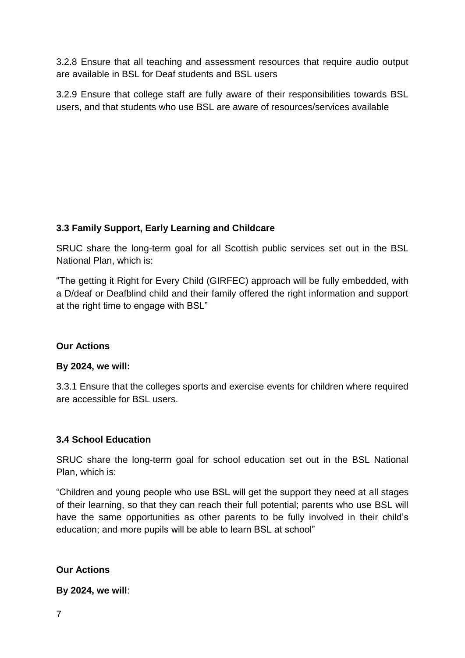3.2.8 Ensure that all teaching and assessment resources that require audio output are available in BSL for Deaf students and BSL users

3.2.9 Ensure that college staff are fully aware of their responsibilities towards BSL users, and that students who use BSL are aware of resources/services available

# **3.3 Family Support, Early Learning and Childcare**

SRUC share the long-term goal for all Scottish public services set out in the BSL National Plan, which is:

"The getting it Right for Every Child (GIRFEC) approach will be fully embedded, with a D/deaf or Deafblind child and their family offered the right information and support at the right time to engage with BSL"

## **Our Actions**

#### **By 2024, we will:**

3.3.1 Ensure that the colleges sports and exercise events for children where required are accessible for BSL users.

## **3.4 School Education**

SRUC share the long-term goal for school education set out in the BSL National Plan, which is:

"Children and young people who use BSL will get the support they need at all stages of their learning, so that they can reach their full potential; parents who use BSL will have the same opportunities as other parents to be fully involved in their child's education; and more pupils will be able to learn BSL at school"

## **Our Actions**

**By 2024, we will**: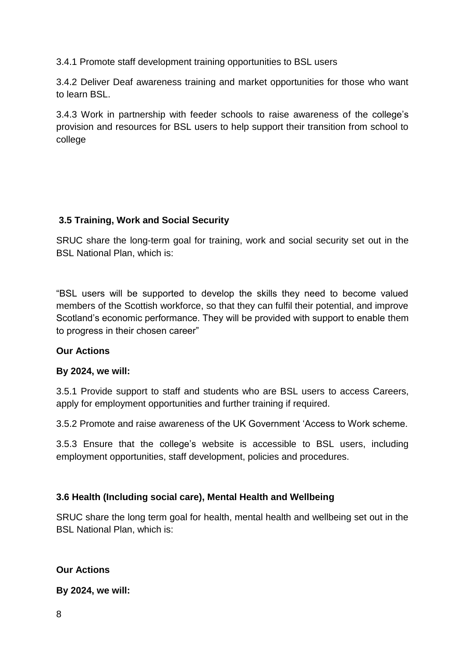3.4.1 Promote staff development training opportunities to BSL users

3.4.2 Deliver Deaf awareness training and market opportunities for those who want to learn BSL.

3.4.3 Work in partnership with feeder schools to raise awareness of the college's provision and resources for BSL users to help support their transition from school to college

# **3.5 Training, Work and Social Security**

SRUC share the long-term goal for training, work and social security set out in the BSL National Plan, which is:

"BSL users will be supported to develop the skills they need to become valued members of the Scottish workforce, so that they can fulfil their potential, and improve Scotland's economic performance. They will be provided with support to enable them to progress in their chosen career"

## **Our Actions**

## **By 2024, we will:**

3.5.1 Provide support to staff and students who are BSL users to access Careers, apply for employment opportunities and further training if required.

3.5.2 Promote and raise awareness of the UK Government 'Access to Work scheme.

3.5.3 Ensure that the college's website is accessible to BSL users, including employment opportunities, staff development, policies and procedures.

## **3.6 Health (Including social care), Mental Health and Wellbeing**

SRUC share the long term goal for health, mental health and wellbeing set out in the BSL National Plan, which is:

## **Our Actions**

**By 2024, we will:**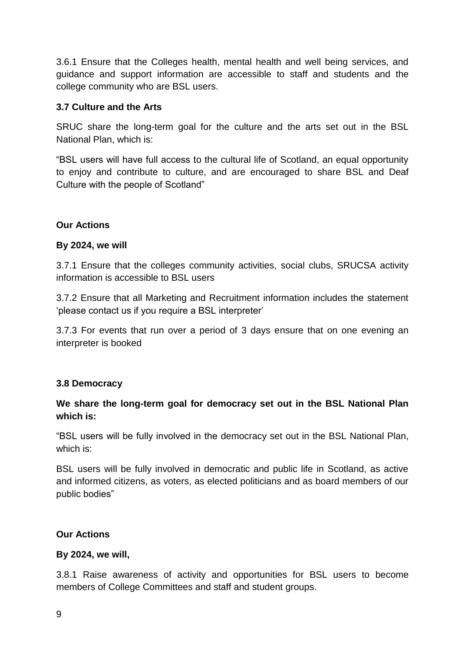3.6.1 Ensure that the Colleges health, mental health and well being services, and guidance and support information are accessible to staff and students and the college community who are BSL users.

#### **3.7 Culture and the Arts**

SRUC share the long-term goal for the culture and the arts set out in the BSL National Plan, which is:

"BSL users will have full access to the cultural life of Scotland, an equal opportunity to enjoy and contribute to culture, and are encouraged to share BSL and Deaf Culture with the people of Scotland"

#### **Our Actions**

#### **By 2024, we will**

3.7.1 Ensure that the colleges community activities, social clubs, SRUCSA activity information is accessible to BSL users

3.7.2 Ensure that all Marketing and Recruitment information includes the statement 'please contact us if you require a BSL interpreter'

3.7.3 For events that run over a period of 3 days ensure that on one evening an interpreter is booked

#### **3.8 Democracy**

# **We share the long-term goal for democracy set out in the BSL National Plan which is:**

"BSL users will be fully involved in the democracy set out in the BSL National Plan, which is:

BSL users will be fully involved in democratic and public life in Scotland, as active and informed citizens, as voters, as elected politicians and as board members of our public bodies"

#### **Our Actions**

#### **By 2024, we will,**

3.8.1 Raise awareness of activity and opportunities for BSL users to become members of College Committees and staff and student groups.